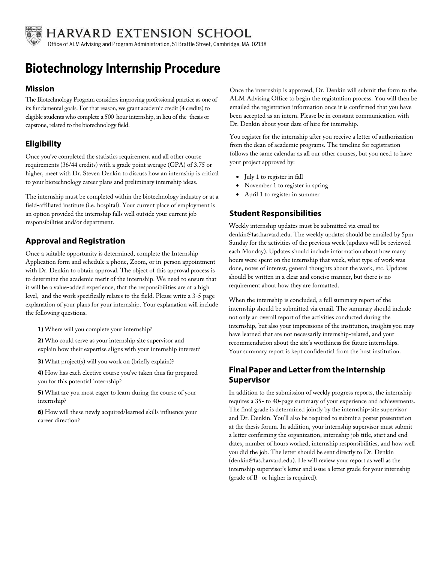

HARVARD EXTENSION SCHOOL

Office of ALM Advising and Program Administration, 51 Brattle Street, Cambridge, MA, 02138

# **Biotechnology Internship Procedure**

#### **Mission**

The Biotechnology Program considers improving professional practice as one of its fundamental goals. For that reason, we grant academic credit (4 credits) to eligible students who complete a 500-hour internship, in lieu of the thesis or capstone, related to the biotechnology field.

## **Eligibility**

Once you've completed the statistics requirement and all other course requirements (36/44 credits) with a grade point average (GPA) of 3.75 or higher, meet with Dr. Steven Denkin to discuss how an internship is critical to your biotechnology career plans and preliminary internship ideas.

The internship must be completed within the biotechnology industry or at a field-affiliated institute (i.e. hospital). Your current place of employment is an option provided the internship falls well outside your current job responsibilities and/or department.

## **Approval and Registration**

Once a suitable opportunity is determined, complete the Internship Application form and schedule a phone, Zoom, or in-person appointment with Dr. Denkin to obtain approval. The object of this approval process is to determine the academic merit of the internship. We need to ensure that it will be a value-added experience, that the responsibilities are at a high level, and the work specifically relates to the field. Please write a 3-5 page explanation of your plans for your internship. Your explanation will include the following questions.

**1)** Where will you complete your internship?

**2)** Who could serve as your internship site supervisor and explain how their expertise aligns with your internship interest?

**3)** What project(s) will you work on (briefly explain)?

**4)** How has each elective course you've taken thus far prepared you for this potential internship?

**5)** What are you most eager to learn during the course of your internship?

**6)** How will these newly acquired/learned skills influence your career direction?

Once the internship is approved, Dr. Denkin will submit the form to the ALM Advising Office to begin the registration process. You will then be emailed the registration information once it is confirmed that you have been accepted as an intern. Please be in constant communication with Dr. Denkin about your date of hire for internship.

You register for the internship after you receive a letter of authorization from the dean of academic programs. The timeline for registration follows the same calendar as all our other courses, but you need to have your project approved by:

- July 1 to register in fall
- November 1 to register in spring
- April 1 to register in summer

### **Student Responsibilities**

Weekly internship updates must be submitted via email to: denkin@fas.harvard.edu. The weekly updates should be emailed by 5pm Sunday for the activities of the previous week (updates will be reviewed each Monday). Updates should include information about how many hours were spent on the internship that week, what type of work was done, notes of interest, general thoughts about the work, etc. Updates should be written in a clear and concise manner, but there is no requirement about how they are formatted.

When the internship is concluded, a full summary report of the internship should be submitted via email. The summary should include not only an overall report of the activities conducted during the internship, but also your impressions of the institution, insights you may have learned that are not necessarily internship-related, and your recommendation about the site's worthiness for future internships. Your summary report is kept confidential from the host institution.

## **Final Paper and Letterfrom the Internship Supervisor**

In addition to the submission of weekly progress reports, the internship requires a 35- to 40-page summary of your experience and achievements. The final grade is determined jointly by the internship-site supervisor and Dr. Denkin. You'll also be required to submit a poster presentation at the thesis forum. In addition, your internship supervisor must submit a letter confirming the organization, internship job title, start and end dates, number of hours worked, internship responsibilities, and how well you did the job. The letter should be sent directly to Dr. Denkin (denkin@fas.harvard.edu). He will review your report as well as the internship supervisor's letter and issue a letter grade for your internship (grade of B- or higher is required).